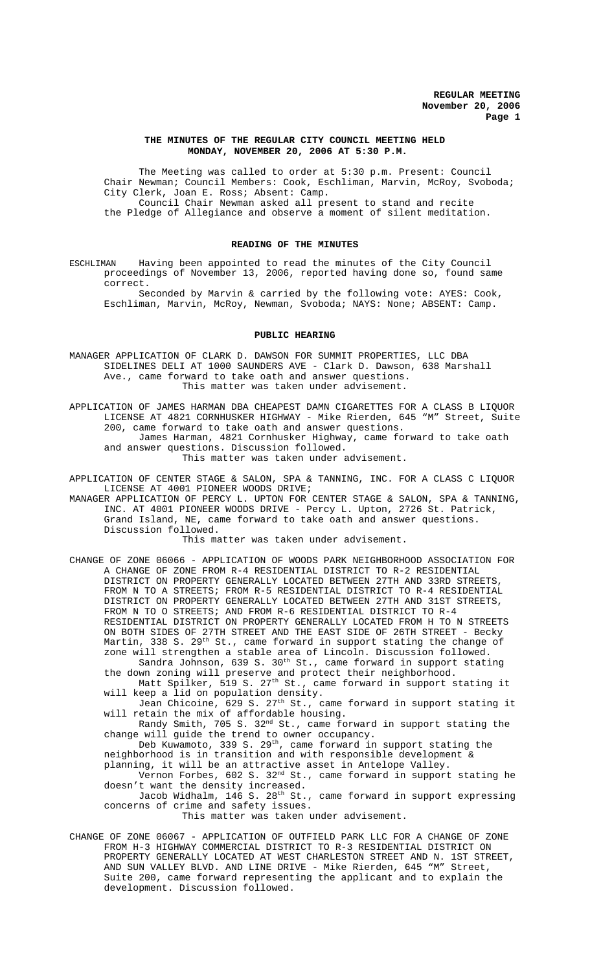# **THE MINUTES OF THE REGULAR CITY COUNCIL MEETING HELD MONDAY, NOVEMBER 20, 2006 AT 5:30 P.M.**

The Meeting was called to order at 5:30 p.m. Present: Council Chair Newman; Council Members: Cook, Eschliman, Marvin, McRoy, Svoboda; City Clerk, Joan E. Ross; Absent: Camp. Council Chair Newman asked all present to stand and recite the Pledge of Allegiance and observe a moment of silent meditation.

# **READING OF THE MINUTES**

ESCHLIMAN Having been appointed to read the minutes of the City Council proceedings of November 13, 2006, reported having done so, found same correct.

Seconded by Marvin & carried by the following vote: AYES: Cook, Eschliman, Marvin, McRoy, Newman, Svoboda; NAYS: None; ABSENT: Camp.

#### **PUBLIC HEARING**

MANAGER APPLICATION OF CLARK D. DAWSON FOR SUMMIT PROPERTIES, LLC DBA SIDELINES DELI AT 1000 SAUNDERS AVE - Clark D. Dawson, 638 Marshall Ave., came forward to take oath and answer questions. This matter was taken under advisement.

APPLICATION OF JAMES HARMAN DBA CHEAPEST DAMN CIGARETTES FOR A CLASS B LIQUOR LICENSE AT 4821 CORNHUSKER HIGHWAY - Mike Rierden, 645 "M" Street, Suite 200, came forward to take oath and answer questions. James Harman, 4821 Cornhusker Highway, came forward to take oath and answer questions. Discussion followed.

This matter was taken under advisement.

APPLICATION OF CENTER STAGE & SALON, SPA & TANNING, INC. FOR A CLASS C LIQUOR LICENSE AT 4001 PIONEER WOODS DRIVE;

MANAGER APPLICATION OF PERCY L. UPTON FOR CENTER STAGE & SALON, SPA & TANNING, INC. AT 4001 PIONEER WOODS DRIVE - Percy L. Upton, 2726 St. Patrick, Grand Island, NE, came forward to take oath and answer questions. Discussion followed.

This matter was taken under advisement.

CHANGE OF ZONE 06066 - APPLICATION OF WOODS PARK NEIGHBORHOOD ASSOCIATION FOR A CHANGE OF ZONE FROM R-4 RESIDENTIAL DISTRICT TO R-2 RESIDENTIAL DISTRICT ON PROPERTY GENERALLY LOCATED BETWEEN 27TH AND 33RD STREETS, FROM N TO A STREETS; FROM R-5 RESIDENTIAL DISTRICT TO R-4 RESIDENTIAL DISTRICT ON PROPERTY GENERALLY LOCATED BETWEEN 27TH AND 31ST STREETS, FROM N TO O STREETS; AND FROM R-6 RESIDENTIAL DISTRICT TO R-4 RESIDENTIAL DISTRICT ON PROPERTY GENERALLY LOCATED FROM H TO N STREETS ON BOTH SIDES OF 27TH STREET AND THE EAST SIDE OF 26TH STREET - Becky Martin, 338 S. 29<sup>th</sup> St., came forward in support stating the change of zone will strengthen a stable area of Lincoln. Discussion followed.

Sandra Johnson, 639 S.  $30<sup>th</sup>$  St., came forward in support stating the down zoning will preserve and protect their neighborhood. Matt Spilker, 519 S. 27<sup>th</sup> St., came forward in support stating it

will keep a lid on population density. Jean Chicoine, 629 S. 27th St., came forward in support stating it

will retain the mix of affordable housing. Randy Smith, 705 S. 32<sup>nd</sup> St., came forward in support stating the change will guide the trend to owner occupancy.

Deb Kuwamoto, 339 S. 29<sup>th</sup>, came forward in support stating the neighborhood is in transition and with responsible development &

planning, it will be an attractive asset in Antelope Valley. Vernon Forbes, 602 S. 32nd St., came forward in support stating he doesn't want the density increased.

Jacob Widhalm, 146 S. 28<sup>th</sup> St., came forward in support expressing concerns of crime and safety issues.

This matter was taken under advisement.

CHANGE OF ZONE 06067 - APPLICATION OF OUTFIELD PARK LLC FOR A CHANGE OF ZONE FROM H-3 HIGHWAY COMMERCIAL DISTRICT TO R-3 RESIDENTIAL DISTRICT ON PROPERTY GENERALLY LOCATED AT WEST CHARLESTON STREET AND N. 1ST STREET, AND SUN VALLEY BLVD. AND LINE DRIVE - Mike Rierden, 645 "M" Street, Suite 200, came forward representing the applicant and to explain the development. Discussion followed.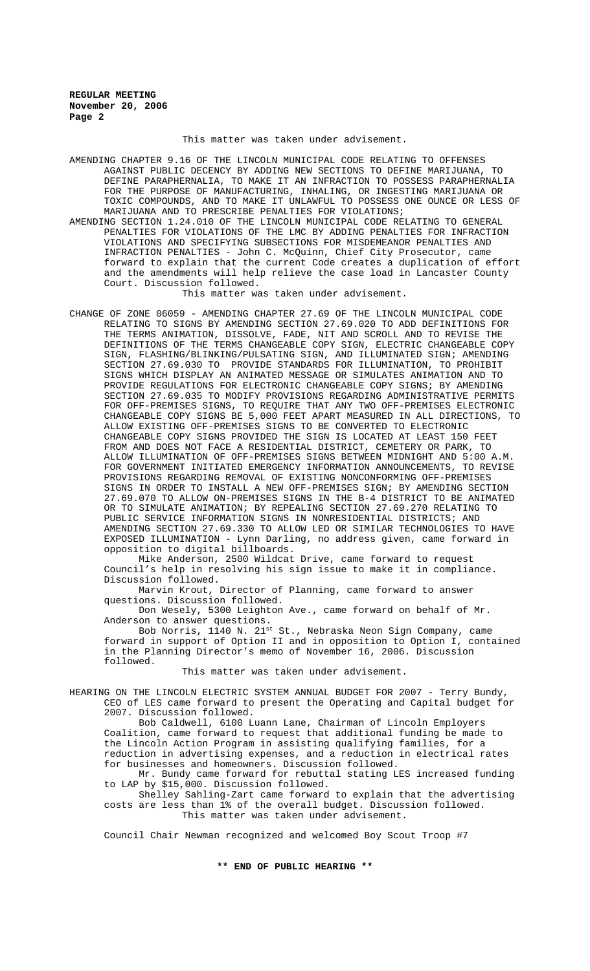This matter was taken under advisement.

AMENDING CHAPTER 9.16 OF THE LINCOLN MUNICIPAL CODE RELATING TO OFFENSES AGAINST PUBLIC DECENCY BY ADDING NEW SECTIONS TO DEFINE MARIJUANA, TO DEFINE PARAPHERNALIA, TO MAKE IT AN INFRACTION TO POSSESS PARAPHERNALIA FOR THE PURPOSE OF MANUFACTURING, INHALING, OR INGESTING MARIJUANA OR TOXIC COMPOUNDS, AND TO MAKE IT UNLAWFUL TO POSSESS ONE OUNCE OR LESS OF MARIJUANA AND TO PRESCRIBE PENALTIES FOR VIOLATIONS;

AMENDING SECTION 1.24.010 OF THE LINCOLN MUNICIPAL CODE RELATING TO GENERAL PENALTIES FOR VIOLATIONS OF THE LMC BY ADDING PENALTIES FOR INFRACTION VIOLATIONS AND SPECIFYING SUBSECTIONS FOR MISDEMEANOR PENALTIES AND INFRACTION PENALTIES - John C. McQuinn, Chief City Prosecutor, came forward to explain that the current Code creates a duplication of effort and the amendments will help relieve the case load in Lancaster County Court. Discussion followed.

This matter was taken under advisement.

CHANGE OF ZONE 06059 - AMENDING CHAPTER 27.69 OF THE LINCOLN MUNICIPAL CODE RELATING TO SIGNS BY AMENDING SECTION 27.69.020 TO ADD DEFINITIONS FOR THE TERMS ANIMATION, DISSOLVE, FADE, NIT AND SCROLL AND TO REVISE THE DEFINITIONS OF THE TERMS CHANGEABLE COPY SIGN, ELECTRIC CHANGEABLE COPY SIGN, FLASHING/BLINKING/PULSATING SIGN, AND ILLUMINATED SIGN; AMENDING SECTION 27.69.030 TO PROVIDE STANDARDS FOR ILLUMINATION, TO PROHIBIT SIGNS WHICH DISPLAY AN ANIMATED MESSAGE OR SIMULATES ANIMATION AND TO PROVIDE REGULATIONS FOR ELECTRONIC CHANGEABLE COPY SIGNS; BY AMENDING SECTION 27.69.035 TO MODIFY PROVISIONS REGARDING ADMINISTRATIVE PERMITS FOR OFF-PREMISES SIGNS, TO REQUIRE THAT ANY TWO OFF-PREMISES ELECTRONIC CHANGEABLE COPY SIGNS BE 5,000 FEET APART MEASURED IN ALL DIRECTIONS, TO ALLOW EXISTING OFF-PREMISES SIGNS TO BE CONVERTED TO ELECTRONIC CHANGEABLE COPY SIGNS PROVIDED THE SIGN IS LOCATED AT LEAST 150 FEET FROM AND DOES NOT FACE A RESIDENTIAL DISTRICT, CEMETERY OR PARK, TO ALLOW ILLUMINATION OF OFF-PREMISES SIGNS BETWEEN MIDNIGHT AND 5:00 A.M. FOR GOVERNMENT INITIATED EMERGENCY INFORMATION ANNOUNCEMENTS, TO REVISE PROVISIONS REGARDING REMOVAL OF EXISTING NONCONFORMING OFF-PREMISES SIGNS IN ORDER TO INSTALL A NEW OFF-PREMISES SIGN; BY AMENDING SECTION 27.69.070 TO ALLOW ON-PREMISES SIGNS IN THE B-4 DISTRICT TO BE ANIMATED OR TO SIMULATE ANIMATION; BY REPEALING SECTION 27.69.270 RELATING TO PUBLIC SERVICE INFORMATION SIGNS IN NONRESIDENTIAL DISTRICTS; AND AMENDING SECTION 27.69.330 TO ALLOW LED OR SIMILAR TECHNOLOGIES TO HAVE EXPOSED ILLUMINATION - Lynn Darling, no address given, came forward in opposition to digital billboards.

Mike Anderson, 2500 Wildcat Drive, came forward to request Council's help in resolving his sign issue to make it in compliance. Discussion followed.

Marvin Krout, Director of Planning, came forward to answer questions. Discussion followed.

Don Wesely, 5300 Leighton Ave., came forward on behalf of Mr. Anderson to answer questions.

Bob Norris, 1140 N. 21st St., Nebraska Neon Sign Company, came forward in support of Option II and in opposition to Option I, contained in the Planning Director's memo of November 16, 2006. Discussion followed.

This matter was taken under advisement.

HEARING ON THE LINCOLN ELECTRIC SYSTEM ANNUAL BUDGET FOR 2007 - Terry Bundy, CEO of LES came forward to present the Operating and Capital budget for 2007. Discussion followed.

Bob Caldwell, 6100 Luann Lane, Chairman of Lincoln Employers Coalition, came forward to request that additional funding be made to the Lincoln Action Program in assisting qualifying families, for a reduction in advertising expenses, and a reduction in electrical rates for businesses and homeowners. Discussion followed.

Mr. Bundy came forward for rebuttal stating LES increased funding to LAP by \$15,000. Discussion followed.

Shelley Sahling-Zart came forward to explain that the advertising costs are less than 1% of the overall budget. Discussion followed. This matter was taken under advisement.

Council Chair Newman recognized and welcomed Boy Scout Troop #7

**\*\* END OF PUBLIC HEARING \*\***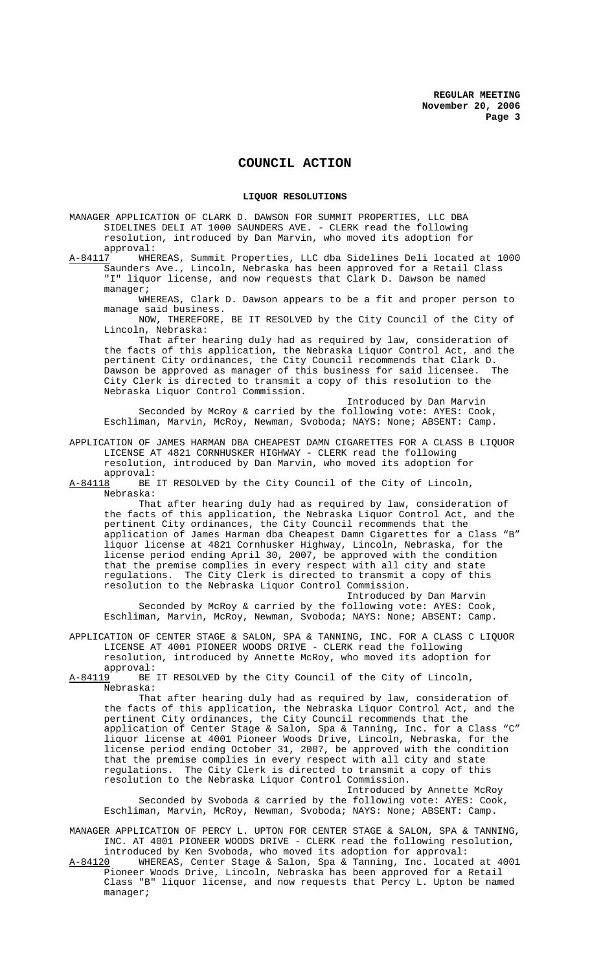# **COUNCIL ACTION**

### **LIQUOR RESOLUTIONS**

MANAGER APPLICATION OF CLARK D. DAWSON FOR SUMMIT PROPERTIES, LLC DBA SIDELINES DELI AT 1000 SAUNDERS AVE. - CLERK read the following resolution, introduced by Dan Marvin, who moved its adoption for approval:<br>:A-84117 WHE

WHEREAS, Summit Properties, LLC dba Sidelines Deli located at 1000 Saunders Ave., Lincoln, Nebraska has been approved for a Retail Class "I" liquor license, and now requests that Clark D. Dawson be named manager;

WHEREAS, Clark D. Dawson appears to be a fit and proper person to manage said business.

NOW, THEREFORE, BE IT RESOLVED by the City Council of the City of Lincoln, Nebraska:

That after hearing duly had as required by law, consideration of the facts of this application, the Nebraska Liquor Control Act, and the pertinent City ordinances, the City Council recommends that Clark D.<br>Dawson be approved as manager of this business for said licensee. The Dawson be approved as manager of this business for said licensee. City Clerk is directed to transmit a copy of this resolution to the Nebraska Liquor Control Commission.

Introduced by Dan Marvin Seconded by McRoy & carried by the following vote: AYES: Cook, Eschliman, Marvin, McRoy, Newman, Svoboda; NAYS: None; ABSENT: Camp.

APPLICATION OF JAMES HARMAN DBA CHEAPEST DAMN CIGARETTES FOR A CLASS B LIQUOR LICENSE AT 4821 CORNHUSKER HIGHWAY - CLERK read the following resolution, introduced by Dan Marvin, who moved its adoption for

approval:<br>A-84118 BE BE IT RESOLVED by the City Council of the City of Lincoln, Nebraska:

That after hearing duly had as required by law, consideration of the facts of this application, the Nebraska Liquor Control Act, and the pertinent City ordinances, the City Council recommends that the application of James Harman dba Cheapest Damn Cigarettes for a Class "B" liquor license at 4821 Cornhusker Highway, Lincoln, Nebraska, for the license period ending April 30, 2007, be approved with the condition that the premise complies in every respect with all city and state regulations. The City Clerk is directed to transmit a copy of this resolution to the Nebraska Liquor Control Commission. Introduced by Dan Marvin

Seconded by McRoy & carried by the following vote: AYES: Cook, Eschliman, Marvin, McRoy, Newman, Svoboda; NAYS: None; ABSENT: Camp.

APPLICATION OF CENTER STAGE & SALON, SPA & TANNING, INC. FOR A CLASS C LIQUOR LICENSE AT 4001 PIONEER WOODS DRIVE - CLERK read the following resolution, introduced by Annette McRoy, who moved its adoption for

approval:<br>A-84119 BE BE IT RESOLVED by the City Council of the City of Lincoln, Nebraska:

That after hearing duly had as required by law, consideration of the facts of this application, the Nebraska Liquor Control Act, and the pertinent City ordinances, the City Council recommends that the application of Center Stage & Salon, Spa & Tanning, Inc. for a Class "C" liquor license at 4001 Pioneer Woods Drive, Lincoln, Nebraska, for the license period ending October 31, 2007, be approved with the condition that the premise complies in every respect with all city and state regulations. The City Clerk is directed to transmit a copy of this resolution to the Nebraska Liquor Control Commission.

Introduced by Annette McRoy Seconded by Svoboda & carried by the following vote: AYES: Cook, Eschliman, Marvin, McRoy, Newman, Svoboda; NAYS: None; ABSENT: Camp.

MANAGER APPLICATION OF PERCY L. UPTON FOR CENTER STAGE & SALON, SPA & TANNING, INC. AT 4001 PIONEER WOODS DRIVE - CLERK read the following resolution, introduced by Ken Svoboda, who moved its adoption for approval:<br>A-84120 WHEREAS, Center Stage & Salon, Spa & Tanning, Inc. locate

WHEREAS, Center Stage & Salon, Spa & Tanning, Inc. located at 4001 Pioneer Woods Drive, Lincoln, Nebraska has been approved for a Retail Class "B" liquor license, and now requests that Percy L. Upton be named manager;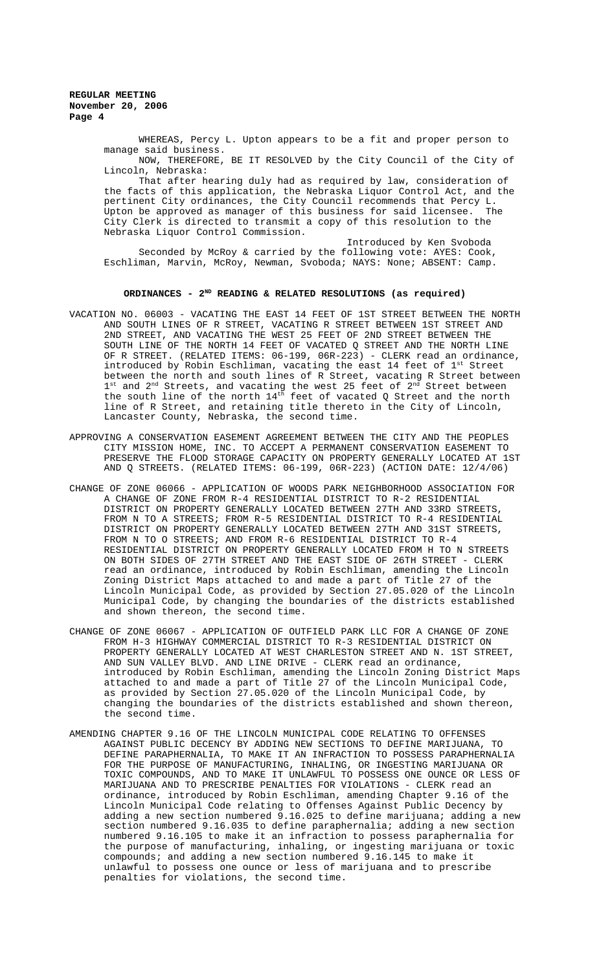> WHEREAS, Percy L. Upton appears to be a fit and proper person to manage said business.

> NOW, THEREFORE, BE IT RESOLVED by the City Council of the City of Lincoln, Nebraska:

> That after hearing duly had as required by law, consideration of the facts of this application, the Nebraska Liquor Control Act, and the pertinent City ordinances, the City Council recommends that Percy L. Upton be approved as manager of this business for said licensee. The City Clerk is directed to transmit a copy of this resolution to the Nebraska Liquor Control Commission.

Introduced by Ken Svoboda Seconded by McRoy & carried by the following vote: AYES: Cook, Eschliman, Marvin, McRoy, Newman, Svoboda; NAYS: None; ABSENT: Camp.

# ORDINANCES - 2<sup>ND</sup> READING & RELATED RESOLUTIONS (as required)

- VACATION NO. 06003 VACATING THE EAST 14 FEET OF 1ST STREET BETWEEN THE NORTH AND SOUTH LINES OF R STREET, VACATING R STREET BETWEEN 1ST STREET AND 2ND STREET, AND VACATING THE WEST 25 FEET OF 2ND STREET BETWEEN THE SOUTH LINE OF THE NORTH 14 FEET OF VACATED Q STREET AND THE NORTH LINE OF R STREET. (RELATED ITEMS: 06-199, 06R-223) - CLERK read an ordinance, introduced by Robin Eschliman, vacating the east 14 feet of  $1^{\text{st}}$  Street between the north and south lines of R Street, vacating R Street between  $1^{\text{st}}$  and  $2^{\text{nd}}$  Streets, and vacating the west 25 feet of  $2^{\text{nd}}$  Street between the south line of the north  $14<sup>th</sup>$  feet of vacated Q Street and the north line of R Street, and retaining title thereto in the City of Lincoln, Lancaster County, Nebraska, the second time.
- APPROVING A CONSERVATION EASEMENT AGREEMENT BETWEEN THE CITY AND THE PEOPLES CITY MISSION HOME, INC. TO ACCEPT A PERMANENT CONSERVATION EASEMENT TO PRESERVE THE FLOOD STORAGE CAPACITY ON PROPERTY GENERALLY LOCATED AT 1ST AND Q STREETS. (RELATED ITEMS: 06-199, 06R-223) (ACTION DATE: 12/4/06)
- CHANGE OF ZONE 06066 APPLICATION OF WOODS PARK NEIGHBORHOOD ASSOCIATION FOR A CHANGE OF ZONE FROM R-4 RESIDENTIAL DISTRICT TO R-2 RESIDENTIAL DISTRICT ON PROPERTY GENERALLY LOCATED BETWEEN 27TH AND 33RD STREETS, FROM N TO A STREETS; FROM R-5 RESIDENTIAL DISTRICT TO R-4 RESIDENTIAL DISTRICT ON PROPERTY GENERALLY LOCATED BETWEEN 27TH AND 31ST STREETS, FROM N TO O STREETS; AND FROM R-6 RESIDENTIAL DISTRICT TO R-4 RESIDENTIAL DISTRICT ON PROPERTY GENERALLY LOCATED FROM H TO N STREETS ON BOTH SIDES OF 27TH STREET AND THE EAST SIDE OF 26TH STREET - CLERK read an ordinance, introduced by Robin Eschliman, amending the Lincoln Zoning District Maps attached to and made a part of Title 27 of the Lincoln Municipal Code, as provided by Section 27.05.020 of the Lincoln Municipal Code, by changing the boundaries of the districts established and shown thereon, the second time.
- CHANGE OF ZONE 06067 APPLICATION OF OUTFIELD PARK LLC FOR A CHANGE OF ZONE FROM H-3 HIGHWAY COMMERCIAL DISTRICT TO R-3 RESIDENTIAL DISTRICT ON PROPERTY GENERALLY LOCATED AT WEST CHARLESTON STREET AND N. 1ST STREET, AND SUN VALLEY BLVD. AND LINE DRIVE - CLERK read an ordinance, introduced by Robin Eschliman, amending the Lincoln Zoning District Maps attached to and made a part of Title 27 of the Lincoln Municipal Code, as provided by Section 27.05.020 of the Lincoln Municipal Code, by changing the boundaries of the districts established and shown thereon, the second time.
- AMENDING CHAPTER 9.16 OF THE LINCOLN MUNICIPAL CODE RELATING TO OFFENSES AGAINST PUBLIC DECENCY BY ADDING NEW SECTIONS TO DEFINE MARIJUANA, TO DEFINE PARAPHERNALIA, TO MAKE IT AN INFRACTION TO POSSESS PARAPHERNALIA FOR THE PURPOSE OF MANUFACTURING, INHALING, OR INGESTING MARIJUANA OR TOXIC COMPOUNDS, AND TO MAKE IT UNLAWFUL TO POSSESS ONE OUNCE OR LESS OF MARIJUANA AND TO PRESCRIBE PENALTIES FOR VIOLATIONS - CLERK read an ordinance, introduced by Robin Eschliman, amending Chapter 9.16 of the Lincoln Municipal Code relating to Offenses Against Public Decency by adding a new section numbered 9.16.025 to define marijuana; adding a new section numbered 9.16.035 to define paraphernalia; adding a new section numbered 9.16.105 to make it an infraction to possess paraphernalia for the purpose of manufacturing, inhaling, or ingesting marijuana or toxic compounds; and adding a new section numbered 9.16.145 to make it unlawful to possess one ounce or less of marijuana and to prescribe penalties for violations, the second time.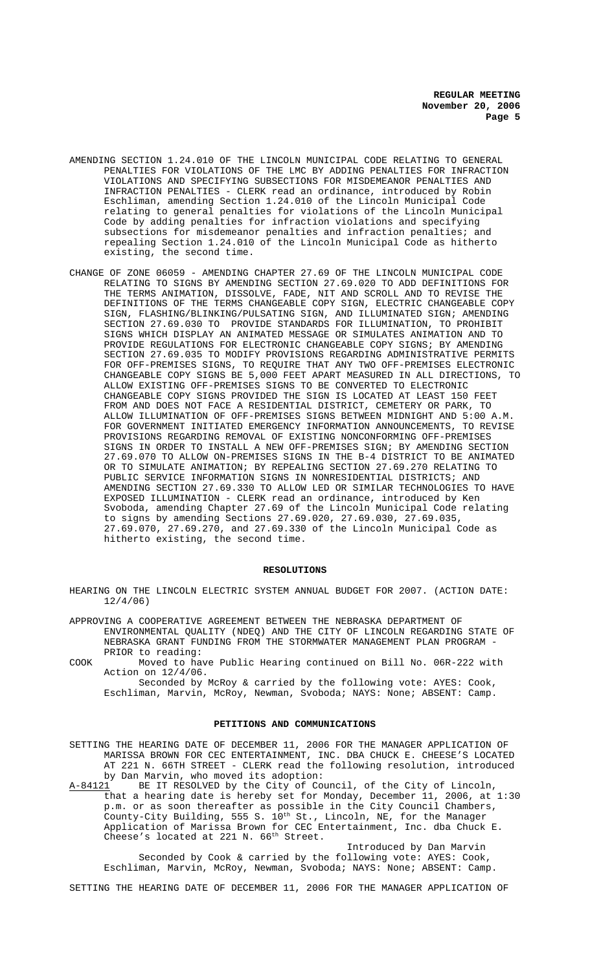- AMENDING SECTION 1.24.010 OF THE LINCOLN MUNICIPAL CODE RELATING TO GENERAL PENALTIES FOR VIOLATIONS OF THE LMC BY ADDING PENALTIES FOR INFRACTION VIOLATIONS AND SPECIFYING SUBSECTIONS FOR MISDEMEANOR PENALTIES AND INFRACTION PENALTIES - CLERK read an ordinance, introduced by Robin Eschliman, amending Section 1.24.010 of the Lincoln Municipal Code relating to general penalties for violations of the Lincoln Municipal Code by adding penalties for infraction violations and specifying subsections for misdemeanor penalties and infraction penalties; and repealing Section 1.24.010 of the Lincoln Municipal Code as hitherto existing, the second time.
- CHANGE OF ZONE 06059 AMENDING CHAPTER 27.69 OF THE LINCOLN MUNICIPAL CODE RELATING TO SIGNS BY AMENDING SECTION 27.69.020 TO ADD DEFINITIONS FOR THE TERMS ANIMATION, DISSOLVE, FADE, NIT AND SCROLL AND TO REVISE THE DEFINITIONS OF THE TERMS CHANGEABLE COPY SIGN, ELECTRIC CHANGEABLE COPY SIGN, FLASHING/BLINKING/PULSATING SIGN, AND ILLUMINATED SIGN; AMENDING SECTION 27.69.030 TO PROVIDE STANDARDS FOR ILLUMINATION, TO PROHIBIT SIGNS WHICH DISPLAY AN ANIMATED MESSAGE OR SIMULATES ANIMATION AND TO PROVIDE REGULATIONS FOR ELECTRONIC CHANGEABLE COPY SIGNS; BY AMENDING SECTION 27.69.035 TO MODIFY PROVISIONS REGARDING ADMINISTRATIVE PERMITS FOR OFF-PREMISES SIGNS, TO REQUIRE THAT ANY TWO OFF-PREMISES ELECTRONIC CHANGEABLE COPY SIGNS BE 5,000 FEET APART MEASURED IN ALL DIRECTIONS, TO ALLOW EXISTING OFF-PREMISES SIGNS TO BE CONVERTED TO ELECTRONIC CHANGEABLE COPY SIGNS PROVIDED THE SIGN IS LOCATED AT LEAST 150 FEET FROM AND DOES NOT FACE A RESIDENTIAL DISTRICT, CEMETERY OR PARK, TO ALLOW ILLUMINATION OF OFF-PREMISES SIGNS BETWEEN MIDNIGHT AND 5:00 A.M. FOR GOVERNMENT INITIATED EMERGENCY INFORMATION ANNOUNCEMENTS, TO REVISE PROVISIONS REGARDING REMOVAL OF EXISTING NONCONFORMING OFF-PREMISES SIGNS IN ORDER TO INSTALL A NEW OFF-PREMISES SIGN; BY AMENDING SECTION 27.69.070 TO ALLOW ON-PREMISES SIGNS IN THE B-4 DISTRICT TO BE ANIMATED OR TO SIMULATE ANIMATION; BY REPEALING SECTION 27.69.270 RELATING TO PUBLIC SERVICE INFORMATION SIGNS IN NONRESIDENTIAL DISTRICTS; AND AMENDING SECTION 27.69.330 TO ALLOW LED OR SIMILAR TECHNOLOGIES TO HAVE EXPOSED ILLUMINATION - CLERK read an ordinance, introduced by Ken Svoboda, amending Chapter 27.69 of the Lincoln Municipal Code relating to signs by amending Sections 27.69.020, 27.69.030, 27.69.035, 27.69.070, 27.69.270, and 27.69.330 of the Lincoln Municipal Code as hitherto existing, the second time.

# **RESOLUTIONS**

HEARING ON THE LINCOLN ELECTRIC SYSTEM ANNUAL BUDGET FOR 2007. (ACTION DATE: 12/4/06)

- APPROVING A COOPERATIVE AGREEMENT BETWEEN THE NEBRASKA DEPARTMENT OF ENVIRONMENTAL QUALITY (NDEQ) AND THE CITY OF LINCOLN REGARDING STATE OF NEBRASKA GRANT FUNDING FROM THE STORMWATER MANAGEMENT PLAN PROGRAM - PRIOR to reading:
- COOK Moved to have Public Hearing continued on Bill No. 06R-222 with Action on 12/4/06.

Seconded by McRoy & carried by the following vote: AYES: Cook, Eschliman, Marvin, McRoy, Newman, Svoboda; NAYS: None; ABSENT: Camp.

# **PETITIONS AND COMMUNICATIONS**

SETTING THE HEARING DATE OF DECEMBER 11, 2006 FOR THE MANAGER APPLICATION OF MARISSA BROWN FOR CEC ENTERTAINMENT, INC. DBA CHUCK E. CHEESE'S LOCATED AT 221 N. 66TH STREET - CLERK read the following resolution, introduced by Dan Marvin, who moved its adoption:

A-84121 BE IT RESOLVED by the City of Council, of the City of Lincoln, that a hearing date is hereby set for Monday, December 11, 2006, at 1:30 p.m. or as soon thereafter as possible in the City Council Chambers, County-City Building, 555 S.  $10^{\text{th}}$  St., Lincoln, NE, for the Manager Application of Marissa Brown for CEC Entertainment, Inc. dba Chuck E. Cheese's located at 221 N. 66th Street.

Introduced by Dan Marvin Seconded by Cook & carried by the following vote: AYES: Cook, Eschliman, Marvin, McRoy, Newman, Svoboda; NAYS: None; ABSENT: Camp.

SETTING THE HEARING DATE OF DECEMBER 11, 2006 FOR THE MANAGER APPLICATION OF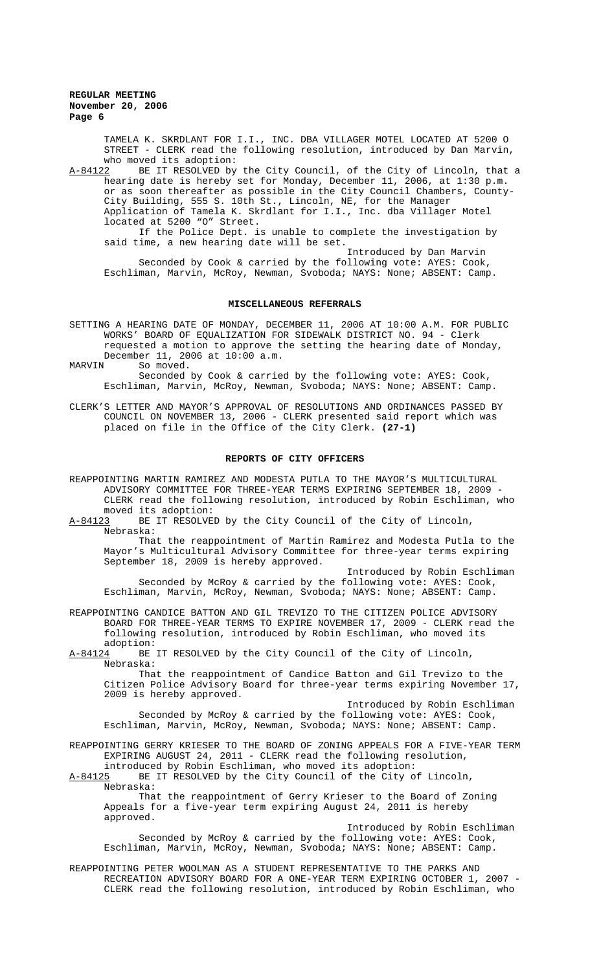> TAMELA K. SKRDLANT FOR I.I., INC. DBA VILLAGER MOTEL LOCATED AT 5200 O STREET - CLERK read the following resolution, introduced by Dan Marvin,

who moved its adoption:<br>A-84122 BE IT RESOLVED by BE IT RESOLVED by the City Council, of the City of Lincoln, that a hearing date is hereby set for Monday, December 11, 2006, at 1:30 p.m. or as soon thereafter as possible in the City Council Chambers, County-City Building, 555 S. 10th St., Lincoln, NE, for the Manager Application of Tamela K. Skrdlant for I.I., Inc. dba Villager Motel located at 5200 "O" Street.

If the Police Dept. is unable to complete the investigation by said time, a new hearing date will be set.

Introduced by Dan Marvin

Seconded by Cook & carried by the following vote: AYES: Cook, Eschliman, Marvin, McRoy, Newman, Svoboda; NAYS: None; ABSENT: Camp.

## **MISCELLANEOUS REFERRALS**

SETTING A HEARING DATE OF MONDAY, DECEMBER 11, 2006 AT 10:00 A.M. FOR PUBLIC WORKS' BOARD OF EQUALIZATION FOR SIDEWALK DISTRICT NO. 94 - Clerk requested a motion to approve the setting the hearing date of Monday, December 11, 2006 at 10:00 a.m.

MARVIN So moved.

Seconded by Cook & carried by the following vote: AYES: Cook, Eschliman, Marvin, McRoy, Newman, Svoboda; NAYS: None; ABSENT: Camp.

CLERK'S LETTER AND MAYOR'S APPROVAL OF RESOLUTIONS AND ORDINANCES PASSED BY COUNCIL ON NOVEMBER 13, 2006 - CLERK presented said report which was placed on file in the Office of the City Clerk. **(27-1)**

# **REPORTS OF CITY OFFICERS**

REAPPOINTING MARTIN RAMIREZ AND MODESTA PUTLA TO THE MAYOR'S MULTICULTURAL ADVISORY COMMITTEE FOR THREE-YEAR TERMS EXPIRING SEPTEMBER 18, 2009 - CLERK read the following resolution, introduced by Robin Eschliman, who moved its adoption:<br>A-84123 BE IT RESOLVE

BE IT RESOLVED by the City Council of the City of Lincoln, Nebraska:

That the reappointment of Martin Ramirez and Modesta Putla to the Mayor's Multicultural Advisory Committee for three-year terms expiring September 18, 2009 is hereby approved.

Introduced by Robin Eschliman Seconded by McRoy & carried by the following vote: AYES: Cook, Eschliman, Marvin, McRoy, Newman, Svoboda; NAYS: None; ABSENT: Camp.

REAPPOINTING CANDICE BATTON AND GIL TREVIZO TO THE CITIZEN POLICE ADVISORY BOARD FOR THREE-YEAR TERMS TO EXPIRE NOVEMBER 17, 2009 - CLERK read the following resolution, introduced by Robin Eschliman, who moved its adoption:<br>A-84124 BE

BE IT RESOLVED by the City Council of the City of Lincoln, Nebraska:

That the reappointment of Candice Batton and Gil Trevizo to the Citizen Police Advisory Board for three-year terms expiring November 17, 2009 is hereby approved.

Introduced by Robin Eschliman Seconded by McRoy & carried by the following vote: AYES: Cook, Eschliman, Marvin, McRoy, Newman, Svoboda; NAYS: None; ABSENT: Camp.

REAPPOINTING GERRY KRIESER TO THE BOARD OF ZONING APPEALS FOR A FIVE-YEAR TERM EXPIRING AUGUST 24, 2011 - CLERK read the following resolution,

introduced by Robin Eschliman, who moved its adoption:<br>A-84125 BE IT RESOLVED by the City Council of the City or BE IT RESOLVED by the City Council of the City of Lincoln, Nebraska:

That the reappointment of Gerry Krieser to the Board of Zoning Appeals for a five-year term expiring August 24, 2011 is hereby approved.

Introduced by Robin Eschliman Seconded by McRoy & carried by the following vote: AYES: Cook, Eschliman, Marvin, McRoy, Newman, Svoboda; NAYS: None; ABSENT: Camp.

REAPPOINTING PETER WOOLMAN AS A STUDENT REPRESENTATIVE TO THE PARKS AND RECREATION ADVISORY BOARD FOR A ONE-YEAR TERM EXPIRING OCTOBER 1, 2007 - CLERK read the following resolution, introduced by Robin Eschliman, who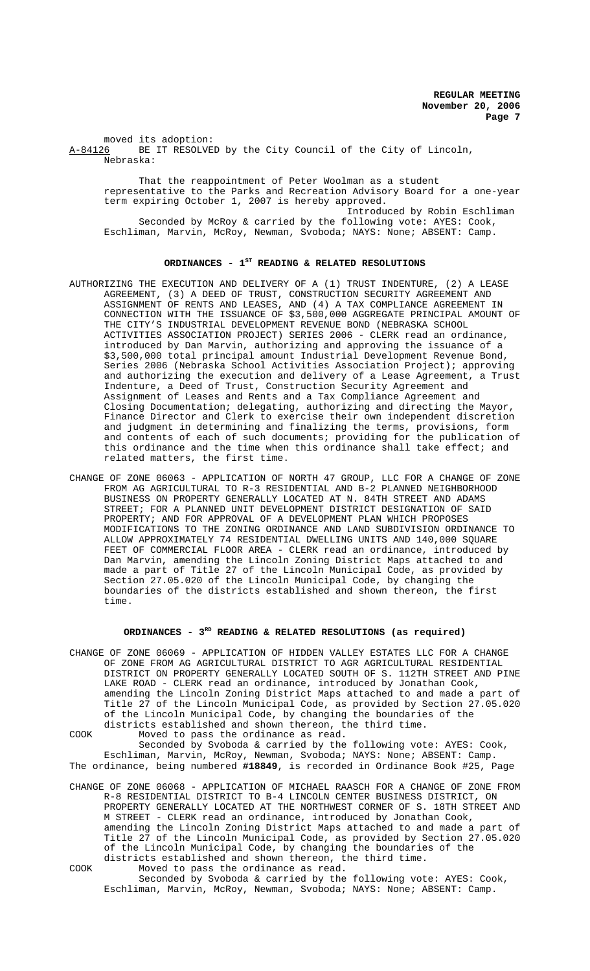moved its adoption:<br>A-84126 BE IT RESOLVE BE IT RESOLVED by the City Council of the City of Lincoln, Nebraska:

That the reappointment of Peter Woolman as a student representative to the Parks and Recreation Advisory Board for a one-year term expiring October 1, 2007 is hereby approved. Introduced by Robin Eschliman Seconded by McRoy & carried by the following vote: AYES: Cook, Eschliman, Marvin, McRoy, Newman, Svoboda; NAYS: None; ABSENT: Camp.

# ORDINANCES - 1<sup>st</sup> READING & RELATED RESOLUTIONS

- AUTHORIZING THE EXECUTION AND DELIVERY OF A (1) TRUST INDENTURE, (2) A LEASE AGREEMENT, (3) A DEED OF TRUST, CONSTRUCTION SECURITY AGREEMENT AND ASSIGNMENT OF RENTS AND LEASES, AND (4) A TAX COMPLIANCE AGREEMENT IN CONNECTION WITH THE ISSUANCE OF \$3,500,000 AGGREGATE PRINCIPAL AMOUNT OF THE CITY'S INDUSTRIAL DEVELOPMENT REVENUE BOND (NEBRASKA SCHOOL ACTIVITIES ASSOCIATION PROJECT) SERIES 2006 - CLERK read an ordinance, introduced by Dan Marvin, authorizing and approving the issuance of a \$3,500,000 total principal amount Industrial Development Revenue Bond, Series 2006 (Nebraska School Activities Association Project); approving and authorizing the execution and delivery of a Lease Agreement, a Trust Indenture, a Deed of Trust, Construction Security Agreement and Assignment of Leases and Rents and a Tax Compliance Agreement and Closing Documentation; delegating, authorizing and directing the Mayor, Finance Director and Clerk to exercise their own independent discretion and judgment in determining and finalizing the terms, provisions, form and contents of each of such documents; providing for the publication of this ordinance and the time when this ordinance shall take effect; and related matters, the first time.
- CHANGE OF ZONE 06063 APPLICATION OF NORTH 47 GROUP, LLC FOR A CHANGE OF ZONE FROM AG AGRICULTURAL TO R-3 RESIDENTIAL AND B-2 PLANNED NEIGHBORHOOD BUSINESS ON PROPERTY GENERALLY LOCATED AT N. 84TH STREET AND ADAMS STREET; FOR A PLANNED UNIT DEVELOPMENT DISTRICT DESIGNATION OF SAID PROPERTY; AND FOR APPROVAL OF A DEVELOPMENT PLAN WHICH PROPOSES MODIFICATIONS TO THE ZONING ORDINANCE AND LAND SUBDIVISION ORDINANCE TO ALLOW APPROXIMATELY 74 RESIDENTIAL DWELLING UNITS AND 140,000 SQUARE FEET OF COMMERCIAL FLOOR AREA - CLERK read an ordinance, introduced by Dan Marvin, amending the Lincoln Zoning District Maps attached to and made a part of Title 27 of the Lincoln Municipal Code, as provided by Section 27.05.020 of the Lincoln Municipal Code, by changing the boundaries of the districts established and shown thereon, the first time.

### **ORDINANCES - 3RD READING & RELATED RESOLUTIONS (as required)**

CHANGE OF ZONE 06069 - APPLICATION OF HIDDEN VALLEY ESTATES LLC FOR A CHANGE OF ZONE FROM AG AGRICULTURAL DISTRICT TO AGR AGRICULTURAL RESIDENTIAL DISTRICT ON PROPERTY GENERALLY LOCATED SOUTH OF S. 112TH STREET AND PINE LAKE ROAD - CLERK read an ordinance, introduced by Jonathan Cook, amending the Lincoln Zoning District Maps attached to and made a part of Title 27 of the Lincoln Municipal Code, as provided by Section 27.05.020 of the Lincoln Municipal Code, by changing the boundaries of the districts established and shown thereon, the third time.

COOK Moved to pass the ordinance as read.

Seconded by Svoboda & carried by the following vote: AYES: Cook, Eschliman, Marvin, McRoy, Newman, Svoboda; NAYS: None; ABSENT: Camp. The ordinance, being numbered **#18849**, is recorded in Ordinance Book #25, Page

CHANGE OF ZONE 06068 - APPLICATION OF MICHAEL RAASCH FOR A CHANGE OF ZONE FROM R-8 RESIDENTIAL DISTRICT TO B-4 LINCOLN CENTER BUSINESS DISTRICT, ON PROPERTY GENERALLY LOCATED AT THE NORTHWEST CORNER OF S. 18TH STREET AND M STREET - CLERK read an ordinance, introduced by Jonathan Cook, amending the Lincoln Zoning District Maps attached to and made a part of Title 27 of the Lincoln Municipal Code, as provided by Section 27.05.020 of the Lincoln Municipal Code, by changing the boundaries of the districts established and shown thereon, the third time. COOK Moved to pass the ordinance as read.

Seconded by Svoboda & carried by the following vote: AYES: Cook, Eschliman, Marvin, McRoy, Newman, Svoboda; NAYS: None; ABSENT: Camp.